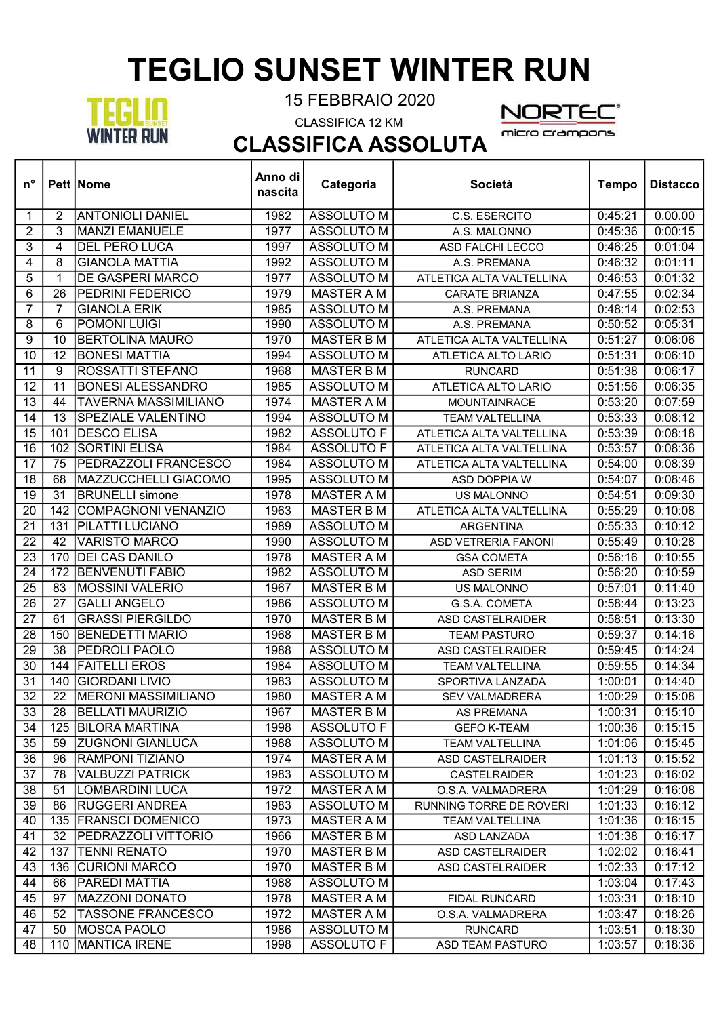## TEGLIO SUNSET WINTER RUN



┯

┱

15 FEBBRAIO 2020

CLASSIFICA 12 KM



┯

CLASSIFICA ASSOLUTA $\top$ 

| <b>ANTONIOLI DANIEL</b><br><b>ASSOLUTO M</b><br>0:45:21<br>0.00.00<br>$\overline{2}$<br>1982<br>C.S. ESERCITO<br>1<br>3<br><b>MANZI EMANUELE</b><br><b>ASSOLUTO M</b><br>2<br>1977<br>0:45:36<br>0:00:15<br>A.S. MALONNO<br>3<br><b>DEL PERO LUCA</b><br>4<br>1997<br><b>ASSOLUTO M</b><br>0:46:25<br>0:01:04<br>ASD FALCHI LECCO<br>4<br>8<br><b>GIANOLA MATTIA</b><br>1992<br><b>ASSOLUTO M</b><br>0:46:32<br>0:01:11<br>A.S. PREMANA<br>5<br>DE GASPERI MARCO<br><b>ASSOLUTO M</b><br>0:01:32<br>1<br>1977<br>ATLETICA ALTA VALTELLINA<br>0:46:53<br>6<br>26<br><b>MASTER A M</b><br>0:02:34<br>PEDRINI FEDERICO<br>1979<br>0:47:55<br><b>CARATE BRIANZA</b><br>$\overline{7}$<br>$\overline{7}$<br><b>GIANOLA ERIK</b><br><b>ASSOLUTO M</b><br>0:02:53<br>1985<br>0:48:14<br>A.S. PREMANA<br>$\overline{6}$<br><b>ASSOLUTO M</b><br>0:05:31<br>8<br><b>POMONI LUIGI</b><br>1990<br>0:50:52<br>A.S. PREMANA<br>9<br><b>MASTER B M</b><br>0:51:27<br>0:06:06<br>10<br><b>BERTOLINA MAURO</b><br>1970<br>ATLETICA ALTA VALTELLINA<br><b>BONESI MATTIA</b><br>10<br>12<br>1994<br><b>ASSOLUTO M</b><br>0:06:10<br>ATLETICA ALTO LARIO<br>0:51:31<br>9<br>ROSSATTI STEFANO<br><b>MASTER B M</b><br>0:51:38<br>0:06:17<br>11<br>1968<br><b>RUNCARD</b><br>12<br><b>BONESI ALESSANDRO</b><br><b>ASSOLUTO M</b><br>0:51:56<br>0:06:35<br>11<br>1985<br>ATLETICA ALTO LARIO<br>$\overline{13}$<br><b>MASTER A M</b><br>44<br><b>TAVERNA MASSIMILIANO</b><br>1974<br>0:53:20<br>0:07:59<br><b>MOUNTAINRACE</b><br>14<br>13<br><b>SPEZIALE VALENTINO</b><br><b>ASSOLUTO M</b><br>0:53:33<br>0:08:12<br>1994<br><b>TEAM VALTELLINA</b><br>15<br><b>DESCO ELISA</b><br><b>ASSOLUTO F</b><br>0:53:39<br>0:08:18<br>101<br>1982<br>ATLETICA ALTA VALTELLINA<br>$\overline{16}$<br><b>SORTINI ELISA</b><br>0:08:36<br>102<br>1984<br><b>ASSOLUTO F</b><br>0:53:57<br>ATLETICA ALTA VALTELLINA<br>17<br>75<br>PEDRAZZOLI FRANCESCO<br>1984<br><b>ASSOLUTO M</b><br>0:54:00<br>0:08:39<br>ATLETICA ALTA VALTELLINA<br>18<br>68<br>MAZZUCCHELLI GIACOMO<br>1995<br><b>ASSOLUTO M</b><br>0:08:46<br>0:54:07<br>ASD DOPPIA W<br>$\overline{31}$<br>19<br><b>BRUNELLI simone</b><br>1978<br><b>MASTER A M</b><br>0:54:51<br>0:09:30<br>US MALONNO<br>20<br>142<br><b>COMPAGNONI VENANZIO</b><br>1963<br><b>MASTER B M</b><br>0:55:29<br>0:10:08<br>ATLETICA ALTA VALTELLINA<br>$\overline{21}$<br>0:10:12<br>131<br><b>PILATTI LUCIANO</b><br>1989<br><b>ASSOLUTO M</b><br>0:55:33<br><b>ARGENTINA</b><br>22<br>42<br><b>VARISTO MARCO</b><br>ASSOLUTO M<br>0:55:49<br>0:10:28<br>1990<br><b>ASD VETRERIA FANONI</b><br>$\overline{23}$<br><b>DEI CAS DANILO</b><br><b>MASTER A M</b><br>0:10:55<br>170<br>1978<br>0:56:16<br><b>GSA COMETA</b><br>$\overline{24}$<br>172<br><b>BENVENUTI FABIO</b><br><b>ASSOLUTO M</b><br>0:10:59<br>1982<br><b>ASD SERIM</b><br>0:56:20<br>$\overline{25}$<br><b>MASTER B M</b><br>83<br><b>MOSSINI VALERIO</b><br>0:57:01<br>0:11:40<br>1967<br>US MALONNO<br>26<br>27<br><b>GALLI ANGELO</b><br><b>ASSOLUTO M</b><br>0:58:44<br>0:13:23<br>1986<br>G.S.A. COMETA<br>$\overline{27}$<br><b>GRASSI PIERGILDO</b><br>0:13:30<br>61<br>1970<br><b>MASTER B M</b><br>0:58:51<br><b>ASD CASTELRAIDER</b><br><b>BENEDETTI MARIO</b><br>28<br>150<br><b>MASTER B M</b><br>0:59:37<br>0:14:16<br>1968<br><b>TEAM PASTURO</b><br>$\overline{29}$<br>$\overline{38}$<br>PEDROLI PAOLO<br>1988<br><b>ASSOLUTO M</b><br>0:59:45<br>0:14:24<br><b>ASD CASTELRAIDER</b><br><b>FAITELLI EROS</b><br><b>ASSOLUTO M</b><br>30<br>144<br>1984<br>0:59:55<br>0:14:34<br><b>TEAM VALTELLINA</b><br><b>GIORDANI LIVIO</b><br>31<br>140<br>1983<br><b>ASSOLUTO M</b><br>0:14:40<br>SPORTIVA LANZADA<br>1:00:01<br>$\overline{32}$<br>$\overline{22}$<br><b>MERONI MASSIMILIANO</b><br>1980<br><b>MASTER A M</b><br>0:15:08<br>1:00:29<br><b>SEV VALMADRERA</b><br>33<br>28<br><b>BELLATI MAURIZIO</b><br>1967<br>MASTER B M<br><b>AS PREMANA</b><br>1:00:31<br>0:15:10<br><b>BILORA MARTINA</b><br><b>ASSOLUTO F</b><br>0:15:15<br>34<br>125<br>1998<br><b>GEFO K-TEAM</b><br>1:00:36<br>35<br>59<br><b>ZUGNONI GIANLUCA</b><br>ASSOLUTO M<br>0:15:45<br>1988<br>1:01:06<br><b>TEAM VALTELLINA</b><br>36<br><b>RAMPONI TIZIANO</b><br>1974<br><b>MASTER A M</b><br>96<br>1:01:13<br>0:15:52<br>ASD CASTELRAIDER<br><b>ASSOLUTO M</b><br>37<br>78<br><b>VALBUZZI PATRICK</b><br>1983<br>1:01:23<br>0:16:02<br><b>CASTELRAIDER</b><br><b>LOMBARDINI LUCA</b><br>1972<br><b>MASTER A M</b><br>38<br>51<br>O.S.A. VALMADRERA<br>1:01:29<br>0:16:08<br>39<br><b>RUGGERI ANDREA</b><br>ASSOLUTO M<br>86<br>1983<br>1:01:33<br>0:16:12<br>RUNNING TORRE DE ROVERI<br>135 FRANSCI DOMENICO<br>1973<br><b>MASTER A M</b><br>1:01:36<br>0:16:15<br>40<br><b>TEAM VALTELLINA</b><br><b>MASTER B M</b><br>0:16:17<br>41<br>32<br>PEDRAZZOLI VITTORIO<br>1966<br><b>ASD LANZADA</b><br>1:01:38<br><b>TENNI RENATO</b><br>1970<br><b>MASTER B M</b><br>0:16:41<br>42<br>137<br>ASD CASTELRAIDER<br>1:02:02<br>136 CURIONI MARCO<br>0:17:12<br>43<br>1970<br><b>MASTER B M</b><br>1:02:33<br>ASD CASTELRAIDER<br>PAREDI MATTIA<br>1988<br>ASSOLUTO M<br>0:17:43<br>44<br>66<br>1:03:04<br>45<br><b>MAZZONI DONATO</b><br><b>MASTER A M</b><br>97<br>1978<br>1:03:31<br>0:18:10<br>FIDAL RUNCARD<br><b>MASTER A M</b><br>46<br>52<br><b>TASSONE FRANCESCO</b><br>1972<br>1:03:47<br>0:18:26<br>O.S.A. VALMADRERA<br>47<br>50<br>MOSCA PAOLO<br>ASSOLUTO M<br>1:03:51<br>0:18:30<br>1986<br><b>RUNCARD</b><br>MANTICA IRENE<br>ASSOLUTO F<br>0:18:36<br>48<br>110<br>1998<br>ASD TEAM PASTURO<br>1:03:57 | $n^{\circ}$ | <b>Pett Nome</b> | Anno di<br>nascita | Categoria | Società | <b>Tempo</b> | <b>Distacco</b> |
|-------------------------------------------------------------------------------------------------------------------------------------------------------------------------------------------------------------------------------------------------------------------------------------------------------------------------------------------------------------------------------------------------------------------------------------------------------------------------------------------------------------------------------------------------------------------------------------------------------------------------------------------------------------------------------------------------------------------------------------------------------------------------------------------------------------------------------------------------------------------------------------------------------------------------------------------------------------------------------------------------------------------------------------------------------------------------------------------------------------------------------------------------------------------------------------------------------------------------------------------------------------------------------------------------------------------------------------------------------------------------------------------------------------------------------------------------------------------------------------------------------------------------------------------------------------------------------------------------------------------------------------------------------------------------------------------------------------------------------------------------------------------------------------------------------------------------------------------------------------------------------------------------------------------------------------------------------------------------------------------------------------------------------------------------------------------------------------------------------------------------------------------------------------------------------------------------------------------------------------------------------------------------------------------------------------------------------------------------------------------------------------------------------------------------------------------------------------------------------------------------------------------------------------------------------------------------------------------------------------------------------------------------------------------------------------------------------------------------------------------------------------------------------------------------------------------------------------------------------------------------------------------------------------------------------------------------------------------------------------------------------------------------------------------------------------------------------------------------------------------------------------------------------------------------------------------------------------------------------------------------------------------------------------------------------------------------------------------------------------------------------------------------------------------------------------------------------------------------------------------------------------------------------------------------------------------------------------------------------------------------------------------------------------------------------------------------------------------------------------------------------------------------------------------------------------------------------------------------------------------------------------------------------------------------------------------------------------------------------------------------------------------------------------------------------------------------------------------------------------------------------------------------------------------------------------------------------------------------------------------------------------------------------------------------------------------------------------------------------------------------------------------------------------------------------------------------------------------------------------------------------------------------------------------------------------------------------------------------------------------------------------------------------------------------------------------------------------------------------------------------------------------------------------------------------------------------------------------------------------------------------------------------------------------------------------------------------------------------------------------------------------------------------------------------------------------------------------------------------------------------------------------------------------------------------------------------------------------------------------------------------------------------------------------------------------------------------------------------------------------------------------------------------------------------------------------------------------------------------------------------------------------------------------------------------------------------------------|-------------|------------------|--------------------|-----------|---------|--------------|-----------------|
|                                                                                                                                                                                                                                                                                                                                                                                                                                                                                                                                                                                                                                                                                                                                                                                                                                                                                                                                                                                                                                                                                                                                                                                                                                                                                                                                                                                                                                                                                                                                                                                                                                                                                                                                                                                                                                                                                                                                                                                                                                                                                                                                                                                                                                                                                                                                                                                                                                                                                                                                                                                                                                                                                                                                                                                                                                                                                                                                                                                                                                                                                                                                                                                                                                                                                                                                                                                                                                                                                                                                                                                                                                                                                                                                                                                                                                                                                                                                                                                                                                                                                                                                                                                                                                                                                                                                                                                                                                                                                                                                                                                                                                                                                                                                                                                                                                                                                                                                                                                                                                                                                                                                                                                                                                                                                                                                                                                                                                                                                                                                                                                     |             |                  |                    |           |         |              |                 |
|                                                                                                                                                                                                                                                                                                                                                                                                                                                                                                                                                                                                                                                                                                                                                                                                                                                                                                                                                                                                                                                                                                                                                                                                                                                                                                                                                                                                                                                                                                                                                                                                                                                                                                                                                                                                                                                                                                                                                                                                                                                                                                                                                                                                                                                                                                                                                                                                                                                                                                                                                                                                                                                                                                                                                                                                                                                                                                                                                                                                                                                                                                                                                                                                                                                                                                                                                                                                                                                                                                                                                                                                                                                                                                                                                                                                                                                                                                                                                                                                                                                                                                                                                                                                                                                                                                                                                                                                                                                                                                                                                                                                                                                                                                                                                                                                                                                                                                                                                                                                                                                                                                                                                                                                                                                                                                                                                                                                                                                                                                                                                                                     |             |                  |                    |           |         |              |                 |
|                                                                                                                                                                                                                                                                                                                                                                                                                                                                                                                                                                                                                                                                                                                                                                                                                                                                                                                                                                                                                                                                                                                                                                                                                                                                                                                                                                                                                                                                                                                                                                                                                                                                                                                                                                                                                                                                                                                                                                                                                                                                                                                                                                                                                                                                                                                                                                                                                                                                                                                                                                                                                                                                                                                                                                                                                                                                                                                                                                                                                                                                                                                                                                                                                                                                                                                                                                                                                                                                                                                                                                                                                                                                                                                                                                                                                                                                                                                                                                                                                                                                                                                                                                                                                                                                                                                                                                                                                                                                                                                                                                                                                                                                                                                                                                                                                                                                                                                                                                                                                                                                                                                                                                                                                                                                                                                                                                                                                                                                                                                                                                                     |             |                  |                    |           |         |              |                 |
|                                                                                                                                                                                                                                                                                                                                                                                                                                                                                                                                                                                                                                                                                                                                                                                                                                                                                                                                                                                                                                                                                                                                                                                                                                                                                                                                                                                                                                                                                                                                                                                                                                                                                                                                                                                                                                                                                                                                                                                                                                                                                                                                                                                                                                                                                                                                                                                                                                                                                                                                                                                                                                                                                                                                                                                                                                                                                                                                                                                                                                                                                                                                                                                                                                                                                                                                                                                                                                                                                                                                                                                                                                                                                                                                                                                                                                                                                                                                                                                                                                                                                                                                                                                                                                                                                                                                                                                                                                                                                                                                                                                                                                                                                                                                                                                                                                                                                                                                                                                                                                                                                                                                                                                                                                                                                                                                                                                                                                                                                                                                                                                     |             |                  |                    |           |         |              |                 |
|                                                                                                                                                                                                                                                                                                                                                                                                                                                                                                                                                                                                                                                                                                                                                                                                                                                                                                                                                                                                                                                                                                                                                                                                                                                                                                                                                                                                                                                                                                                                                                                                                                                                                                                                                                                                                                                                                                                                                                                                                                                                                                                                                                                                                                                                                                                                                                                                                                                                                                                                                                                                                                                                                                                                                                                                                                                                                                                                                                                                                                                                                                                                                                                                                                                                                                                                                                                                                                                                                                                                                                                                                                                                                                                                                                                                                                                                                                                                                                                                                                                                                                                                                                                                                                                                                                                                                                                                                                                                                                                                                                                                                                                                                                                                                                                                                                                                                                                                                                                                                                                                                                                                                                                                                                                                                                                                                                                                                                                                                                                                                                                     |             |                  |                    |           |         |              |                 |
|                                                                                                                                                                                                                                                                                                                                                                                                                                                                                                                                                                                                                                                                                                                                                                                                                                                                                                                                                                                                                                                                                                                                                                                                                                                                                                                                                                                                                                                                                                                                                                                                                                                                                                                                                                                                                                                                                                                                                                                                                                                                                                                                                                                                                                                                                                                                                                                                                                                                                                                                                                                                                                                                                                                                                                                                                                                                                                                                                                                                                                                                                                                                                                                                                                                                                                                                                                                                                                                                                                                                                                                                                                                                                                                                                                                                                                                                                                                                                                                                                                                                                                                                                                                                                                                                                                                                                                                                                                                                                                                                                                                                                                                                                                                                                                                                                                                                                                                                                                                                                                                                                                                                                                                                                                                                                                                                                                                                                                                                                                                                                                                     |             |                  |                    |           |         |              |                 |
|                                                                                                                                                                                                                                                                                                                                                                                                                                                                                                                                                                                                                                                                                                                                                                                                                                                                                                                                                                                                                                                                                                                                                                                                                                                                                                                                                                                                                                                                                                                                                                                                                                                                                                                                                                                                                                                                                                                                                                                                                                                                                                                                                                                                                                                                                                                                                                                                                                                                                                                                                                                                                                                                                                                                                                                                                                                                                                                                                                                                                                                                                                                                                                                                                                                                                                                                                                                                                                                                                                                                                                                                                                                                                                                                                                                                                                                                                                                                                                                                                                                                                                                                                                                                                                                                                                                                                                                                                                                                                                                                                                                                                                                                                                                                                                                                                                                                                                                                                                                                                                                                                                                                                                                                                                                                                                                                                                                                                                                                                                                                                                                     |             |                  |                    |           |         |              |                 |
|                                                                                                                                                                                                                                                                                                                                                                                                                                                                                                                                                                                                                                                                                                                                                                                                                                                                                                                                                                                                                                                                                                                                                                                                                                                                                                                                                                                                                                                                                                                                                                                                                                                                                                                                                                                                                                                                                                                                                                                                                                                                                                                                                                                                                                                                                                                                                                                                                                                                                                                                                                                                                                                                                                                                                                                                                                                                                                                                                                                                                                                                                                                                                                                                                                                                                                                                                                                                                                                                                                                                                                                                                                                                                                                                                                                                                                                                                                                                                                                                                                                                                                                                                                                                                                                                                                                                                                                                                                                                                                                                                                                                                                                                                                                                                                                                                                                                                                                                                                                                                                                                                                                                                                                                                                                                                                                                                                                                                                                                                                                                                                                     |             |                  |                    |           |         |              |                 |
|                                                                                                                                                                                                                                                                                                                                                                                                                                                                                                                                                                                                                                                                                                                                                                                                                                                                                                                                                                                                                                                                                                                                                                                                                                                                                                                                                                                                                                                                                                                                                                                                                                                                                                                                                                                                                                                                                                                                                                                                                                                                                                                                                                                                                                                                                                                                                                                                                                                                                                                                                                                                                                                                                                                                                                                                                                                                                                                                                                                                                                                                                                                                                                                                                                                                                                                                                                                                                                                                                                                                                                                                                                                                                                                                                                                                                                                                                                                                                                                                                                                                                                                                                                                                                                                                                                                                                                                                                                                                                                                                                                                                                                                                                                                                                                                                                                                                                                                                                                                                                                                                                                                                                                                                                                                                                                                                                                                                                                                                                                                                                                                     |             |                  |                    |           |         |              |                 |
|                                                                                                                                                                                                                                                                                                                                                                                                                                                                                                                                                                                                                                                                                                                                                                                                                                                                                                                                                                                                                                                                                                                                                                                                                                                                                                                                                                                                                                                                                                                                                                                                                                                                                                                                                                                                                                                                                                                                                                                                                                                                                                                                                                                                                                                                                                                                                                                                                                                                                                                                                                                                                                                                                                                                                                                                                                                                                                                                                                                                                                                                                                                                                                                                                                                                                                                                                                                                                                                                                                                                                                                                                                                                                                                                                                                                                                                                                                                                                                                                                                                                                                                                                                                                                                                                                                                                                                                                                                                                                                                                                                                                                                                                                                                                                                                                                                                                                                                                                                                                                                                                                                                                                                                                                                                                                                                                                                                                                                                                                                                                                                                     |             |                  |                    |           |         |              |                 |
|                                                                                                                                                                                                                                                                                                                                                                                                                                                                                                                                                                                                                                                                                                                                                                                                                                                                                                                                                                                                                                                                                                                                                                                                                                                                                                                                                                                                                                                                                                                                                                                                                                                                                                                                                                                                                                                                                                                                                                                                                                                                                                                                                                                                                                                                                                                                                                                                                                                                                                                                                                                                                                                                                                                                                                                                                                                                                                                                                                                                                                                                                                                                                                                                                                                                                                                                                                                                                                                                                                                                                                                                                                                                                                                                                                                                                                                                                                                                                                                                                                                                                                                                                                                                                                                                                                                                                                                                                                                                                                                                                                                                                                                                                                                                                                                                                                                                                                                                                                                                                                                                                                                                                                                                                                                                                                                                                                                                                                                                                                                                                                                     |             |                  |                    |           |         |              |                 |
|                                                                                                                                                                                                                                                                                                                                                                                                                                                                                                                                                                                                                                                                                                                                                                                                                                                                                                                                                                                                                                                                                                                                                                                                                                                                                                                                                                                                                                                                                                                                                                                                                                                                                                                                                                                                                                                                                                                                                                                                                                                                                                                                                                                                                                                                                                                                                                                                                                                                                                                                                                                                                                                                                                                                                                                                                                                                                                                                                                                                                                                                                                                                                                                                                                                                                                                                                                                                                                                                                                                                                                                                                                                                                                                                                                                                                                                                                                                                                                                                                                                                                                                                                                                                                                                                                                                                                                                                                                                                                                                                                                                                                                                                                                                                                                                                                                                                                                                                                                                                                                                                                                                                                                                                                                                                                                                                                                                                                                                                                                                                                                                     |             |                  |                    |           |         |              |                 |
|                                                                                                                                                                                                                                                                                                                                                                                                                                                                                                                                                                                                                                                                                                                                                                                                                                                                                                                                                                                                                                                                                                                                                                                                                                                                                                                                                                                                                                                                                                                                                                                                                                                                                                                                                                                                                                                                                                                                                                                                                                                                                                                                                                                                                                                                                                                                                                                                                                                                                                                                                                                                                                                                                                                                                                                                                                                                                                                                                                                                                                                                                                                                                                                                                                                                                                                                                                                                                                                                                                                                                                                                                                                                                                                                                                                                                                                                                                                                                                                                                                                                                                                                                                                                                                                                                                                                                                                                                                                                                                                                                                                                                                                                                                                                                                                                                                                                                                                                                                                                                                                                                                                                                                                                                                                                                                                                                                                                                                                                                                                                                                                     |             |                  |                    |           |         |              |                 |
|                                                                                                                                                                                                                                                                                                                                                                                                                                                                                                                                                                                                                                                                                                                                                                                                                                                                                                                                                                                                                                                                                                                                                                                                                                                                                                                                                                                                                                                                                                                                                                                                                                                                                                                                                                                                                                                                                                                                                                                                                                                                                                                                                                                                                                                                                                                                                                                                                                                                                                                                                                                                                                                                                                                                                                                                                                                                                                                                                                                                                                                                                                                                                                                                                                                                                                                                                                                                                                                                                                                                                                                                                                                                                                                                                                                                                                                                                                                                                                                                                                                                                                                                                                                                                                                                                                                                                                                                                                                                                                                                                                                                                                                                                                                                                                                                                                                                                                                                                                                                                                                                                                                                                                                                                                                                                                                                                                                                                                                                                                                                                                                     |             |                  |                    |           |         |              |                 |
|                                                                                                                                                                                                                                                                                                                                                                                                                                                                                                                                                                                                                                                                                                                                                                                                                                                                                                                                                                                                                                                                                                                                                                                                                                                                                                                                                                                                                                                                                                                                                                                                                                                                                                                                                                                                                                                                                                                                                                                                                                                                                                                                                                                                                                                                                                                                                                                                                                                                                                                                                                                                                                                                                                                                                                                                                                                                                                                                                                                                                                                                                                                                                                                                                                                                                                                                                                                                                                                                                                                                                                                                                                                                                                                                                                                                                                                                                                                                                                                                                                                                                                                                                                                                                                                                                                                                                                                                                                                                                                                                                                                                                                                                                                                                                                                                                                                                                                                                                                                                                                                                                                                                                                                                                                                                                                                                                                                                                                                                                                                                                                                     |             |                  |                    |           |         |              |                 |
|                                                                                                                                                                                                                                                                                                                                                                                                                                                                                                                                                                                                                                                                                                                                                                                                                                                                                                                                                                                                                                                                                                                                                                                                                                                                                                                                                                                                                                                                                                                                                                                                                                                                                                                                                                                                                                                                                                                                                                                                                                                                                                                                                                                                                                                                                                                                                                                                                                                                                                                                                                                                                                                                                                                                                                                                                                                                                                                                                                                                                                                                                                                                                                                                                                                                                                                                                                                                                                                                                                                                                                                                                                                                                                                                                                                                                                                                                                                                                                                                                                                                                                                                                                                                                                                                                                                                                                                                                                                                                                                                                                                                                                                                                                                                                                                                                                                                                                                                                                                                                                                                                                                                                                                                                                                                                                                                                                                                                                                                                                                                                                                     |             |                  |                    |           |         |              |                 |
|                                                                                                                                                                                                                                                                                                                                                                                                                                                                                                                                                                                                                                                                                                                                                                                                                                                                                                                                                                                                                                                                                                                                                                                                                                                                                                                                                                                                                                                                                                                                                                                                                                                                                                                                                                                                                                                                                                                                                                                                                                                                                                                                                                                                                                                                                                                                                                                                                                                                                                                                                                                                                                                                                                                                                                                                                                                                                                                                                                                                                                                                                                                                                                                                                                                                                                                                                                                                                                                                                                                                                                                                                                                                                                                                                                                                                                                                                                                                                                                                                                                                                                                                                                                                                                                                                                                                                                                                                                                                                                                                                                                                                                                                                                                                                                                                                                                                                                                                                                                                                                                                                                                                                                                                                                                                                                                                                                                                                                                                                                                                                                                     |             |                  |                    |           |         |              |                 |
|                                                                                                                                                                                                                                                                                                                                                                                                                                                                                                                                                                                                                                                                                                                                                                                                                                                                                                                                                                                                                                                                                                                                                                                                                                                                                                                                                                                                                                                                                                                                                                                                                                                                                                                                                                                                                                                                                                                                                                                                                                                                                                                                                                                                                                                                                                                                                                                                                                                                                                                                                                                                                                                                                                                                                                                                                                                                                                                                                                                                                                                                                                                                                                                                                                                                                                                                                                                                                                                                                                                                                                                                                                                                                                                                                                                                                                                                                                                                                                                                                                                                                                                                                                                                                                                                                                                                                                                                                                                                                                                                                                                                                                                                                                                                                                                                                                                                                                                                                                                                                                                                                                                                                                                                                                                                                                                                                                                                                                                                                                                                                                                     |             |                  |                    |           |         |              |                 |
|                                                                                                                                                                                                                                                                                                                                                                                                                                                                                                                                                                                                                                                                                                                                                                                                                                                                                                                                                                                                                                                                                                                                                                                                                                                                                                                                                                                                                                                                                                                                                                                                                                                                                                                                                                                                                                                                                                                                                                                                                                                                                                                                                                                                                                                                                                                                                                                                                                                                                                                                                                                                                                                                                                                                                                                                                                                                                                                                                                                                                                                                                                                                                                                                                                                                                                                                                                                                                                                                                                                                                                                                                                                                                                                                                                                                                                                                                                                                                                                                                                                                                                                                                                                                                                                                                                                                                                                                                                                                                                                                                                                                                                                                                                                                                                                                                                                                                                                                                                                                                                                                                                                                                                                                                                                                                                                                                                                                                                                                                                                                                                                     |             |                  |                    |           |         |              |                 |
|                                                                                                                                                                                                                                                                                                                                                                                                                                                                                                                                                                                                                                                                                                                                                                                                                                                                                                                                                                                                                                                                                                                                                                                                                                                                                                                                                                                                                                                                                                                                                                                                                                                                                                                                                                                                                                                                                                                                                                                                                                                                                                                                                                                                                                                                                                                                                                                                                                                                                                                                                                                                                                                                                                                                                                                                                                                                                                                                                                                                                                                                                                                                                                                                                                                                                                                                                                                                                                                                                                                                                                                                                                                                                                                                                                                                                                                                                                                                                                                                                                                                                                                                                                                                                                                                                                                                                                                                                                                                                                                                                                                                                                                                                                                                                                                                                                                                                                                                                                                                                                                                                                                                                                                                                                                                                                                                                                                                                                                                                                                                                                                     |             |                  |                    |           |         |              |                 |
|                                                                                                                                                                                                                                                                                                                                                                                                                                                                                                                                                                                                                                                                                                                                                                                                                                                                                                                                                                                                                                                                                                                                                                                                                                                                                                                                                                                                                                                                                                                                                                                                                                                                                                                                                                                                                                                                                                                                                                                                                                                                                                                                                                                                                                                                                                                                                                                                                                                                                                                                                                                                                                                                                                                                                                                                                                                                                                                                                                                                                                                                                                                                                                                                                                                                                                                                                                                                                                                                                                                                                                                                                                                                                                                                                                                                                                                                                                                                                                                                                                                                                                                                                                                                                                                                                                                                                                                                                                                                                                                                                                                                                                                                                                                                                                                                                                                                                                                                                                                                                                                                                                                                                                                                                                                                                                                                                                                                                                                                                                                                                                                     |             |                  |                    |           |         |              |                 |
|                                                                                                                                                                                                                                                                                                                                                                                                                                                                                                                                                                                                                                                                                                                                                                                                                                                                                                                                                                                                                                                                                                                                                                                                                                                                                                                                                                                                                                                                                                                                                                                                                                                                                                                                                                                                                                                                                                                                                                                                                                                                                                                                                                                                                                                                                                                                                                                                                                                                                                                                                                                                                                                                                                                                                                                                                                                                                                                                                                                                                                                                                                                                                                                                                                                                                                                                                                                                                                                                                                                                                                                                                                                                                                                                                                                                                                                                                                                                                                                                                                                                                                                                                                                                                                                                                                                                                                                                                                                                                                                                                                                                                                                                                                                                                                                                                                                                                                                                                                                                                                                                                                                                                                                                                                                                                                                                                                                                                                                                                                                                                                                     |             |                  |                    |           |         |              |                 |
|                                                                                                                                                                                                                                                                                                                                                                                                                                                                                                                                                                                                                                                                                                                                                                                                                                                                                                                                                                                                                                                                                                                                                                                                                                                                                                                                                                                                                                                                                                                                                                                                                                                                                                                                                                                                                                                                                                                                                                                                                                                                                                                                                                                                                                                                                                                                                                                                                                                                                                                                                                                                                                                                                                                                                                                                                                                                                                                                                                                                                                                                                                                                                                                                                                                                                                                                                                                                                                                                                                                                                                                                                                                                                                                                                                                                                                                                                                                                                                                                                                                                                                                                                                                                                                                                                                                                                                                                                                                                                                                                                                                                                                                                                                                                                                                                                                                                                                                                                                                                                                                                                                                                                                                                                                                                                                                                                                                                                                                                                                                                                                                     |             |                  |                    |           |         |              |                 |
|                                                                                                                                                                                                                                                                                                                                                                                                                                                                                                                                                                                                                                                                                                                                                                                                                                                                                                                                                                                                                                                                                                                                                                                                                                                                                                                                                                                                                                                                                                                                                                                                                                                                                                                                                                                                                                                                                                                                                                                                                                                                                                                                                                                                                                                                                                                                                                                                                                                                                                                                                                                                                                                                                                                                                                                                                                                                                                                                                                                                                                                                                                                                                                                                                                                                                                                                                                                                                                                                                                                                                                                                                                                                                                                                                                                                                                                                                                                                                                                                                                                                                                                                                                                                                                                                                                                                                                                                                                                                                                                                                                                                                                                                                                                                                                                                                                                                                                                                                                                                                                                                                                                                                                                                                                                                                                                                                                                                                                                                                                                                                                                     |             |                  |                    |           |         |              |                 |
|                                                                                                                                                                                                                                                                                                                                                                                                                                                                                                                                                                                                                                                                                                                                                                                                                                                                                                                                                                                                                                                                                                                                                                                                                                                                                                                                                                                                                                                                                                                                                                                                                                                                                                                                                                                                                                                                                                                                                                                                                                                                                                                                                                                                                                                                                                                                                                                                                                                                                                                                                                                                                                                                                                                                                                                                                                                                                                                                                                                                                                                                                                                                                                                                                                                                                                                                                                                                                                                                                                                                                                                                                                                                                                                                                                                                                                                                                                                                                                                                                                                                                                                                                                                                                                                                                                                                                                                                                                                                                                                                                                                                                                                                                                                                                                                                                                                                                                                                                                                                                                                                                                                                                                                                                                                                                                                                                                                                                                                                                                                                                                                     |             |                  |                    |           |         |              |                 |
|                                                                                                                                                                                                                                                                                                                                                                                                                                                                                                                                                                                                                                                                                                                                                                                                                                                                                                                                                                                                                                                                                                                                                                                                                                                                                                                                                                                                                                                                                                                                                                                                                                                                                                                                                                                                                                                                                                                                                                                                                                                                                                                                                                                                                                                                                                                                                                                                                                                                                                                                                                                                                                                                                                                                                                                                                                                                                                                                                                                                                                                                                                                                                                                                                                                                                                                                                                                                                                                                                                                                                                                                                                                                                                                                                                                                                                                                                                                                                                                                                                                                                                                                                                                                                                                                                                                                                                                                                                                                                                                                                                                                                                                                                                                                                                                                                                                                                                                                                                                                                                                                                                                                                                                                                                                                                                                                                                                                                                                                                                                                                                                     |             |                  |                    |           |         |              |                 |
|                                                                                                                                                                                                                                                                                                                                                                                                                                                                                                                                                                                                                                                                                                                                                                                                                                                                                                                                                                                                                                                                                                                                                                                                                                                                                                                                                                                                                                                                                                                                                                                                                                                                                                                                                                                                                                                                                                                                                                                                                                                                                                                                                                                                                                                                                                                                                                                                                                                                                                                                                                                                                                                                                                                                                                                                                                                                                                                                                                                                                                                                                                                                                                                                                                                                                                                                                                                                                                                                                                                                                                                                                                                                                                                                                                                                                                                                                                                                                                                                                                                                                                                                                                                                                                                                                                                                                                                                                                                                                                                                                                                                                                                                                                                                                                                                                                                                                                                                                                                                                                                                                                                                                                                                                                                                                                                                                                                                                                                                                                                                                                                     |             |                  |                    |           |         |              |                 |
|                                                                                                                                                                                                                                                                                                                                                                                                                                                                                                                                                                                                                                                                                                                                                                                                                                                                                                                                                                                                                                                                                                                                                                                                                                                                                                                                                                                                                                                                                                                                                                                                                                                                                                                                                                                                                                                                                                                                                                                                                                                                                                                                                                                                                                                                                                                                                                                                                                                                                                                                                                                                                                                                                                                                                                                                                                                                                                                                                                                                                                                                                                                                                                                                                                                                                                                                                                                                                                                                                                                                                                                                                                                                                                                                                                                                                                                                                                                                                                                                                                                                                                                                                                                                                                                                                                                                                                                                                                                                                                                                                                                                                                                                                                                                                                                                                                                                                                                                                                                                                                                                                                                                                                                                                                                                                                                                                                                                                                                                                                                                                                                     |             |                  |                    |           |         |              |                 |
|                                                                                                                                                                                                                                                                                                                                                                                                                                                                                                                                                                                                                                                                                                                                                                                                                                                                                                                                                                                                                                                                                                                                                                                                                                                                                                                                                                                                                                                                                                                                                                                                                                                                                                                                                                                                                                                                                                                                                                                                                                                                                                                                                                                                                                                                                                                                                                                                                                                                                                                                                                                                                                                                                                                                                                                                                                                                                                                                                                                                                                                                                                                                                                                                                                                                                                                                                                                                                                                                                                                                                                                                                                                                                                                                                                                                                                                                                                                                                                                                                                                                                                                                                                                                                                                                                                                                                                                                                                                                                                                                                                                                                                                                                                                                                                                                                                                                                                                                                                                                                                                                                                                                                                                                                                                                                                                                                                                                                                                                                                                                                                                     |             |                  |                    |           |         |              |                 |
|                                                                                                                                                                                                                                                                                                                                                                                                                                                                                                                                                                                                                                                                                                                                                                                                                                                                                                                                                                                                                                                                                                                                                                                                                                                                                                                                                                                                                                                                                                                                                                                                                                                                                                                                                                                                                                                                                                                                                                                                                                                                                                                                                                                                                                                                                                                                                                                                                                                                                                                                                                                                                                                                                                                                                                                                                                                                                                                                                                                                                                                                                                                                                                                                                                                                                                                                                                                                                                                                                                                                                                                                                                                                                                                                                                                                                                                                                                                                                                                                                                                                                                                                                                                                                                                                                                                                                                                                                                                                                                                                                                                                                                                                                                                                                                                                                                                                                                                                                                                                                                                                                                                                                                                                                                                                                                                                                                                                                                                                                                                                                                                     |             |                  |                    |           |         |              |                 |
|                                                                                                                                                                                                                                                                                                                                                                                                                                                                                                                                                                                                                                                                                                                                                                                                                                                                                                                                                                                                                                                                                                                                                                                                                                                                                                                                                                                                                                                                                                                                                                                                                                                                                                                                                                                                                                                                                                                                                                                                                                                                                                                                                                                                                                                                                                                                                                                                                                                                                                                                                                                                                                                                                                                                                                                                                                                                                                                                                                                                                                                                                                                                                                                                                                                                                                                                                                                                                                                                                                                                                                                                                                                                                                                                                                                                                                                                                                                                                                                                                                                                                                                                                                                                                                                                                                                                                                                                                                                                                                                                                                                                                                                                                                                                                                                                                                                                                                                                                                                                                                                                                                                                                                                                                                                                                                                                                                                                                                                                                                                                                                                     |             |                  |                    |           |         |              |                 |
|                                                                                                                                                                                                                                                                                                                                                                                                                                                                                                                                                                                                                                                                                                                                                                                                                                                                                                                                                                                                                                                                                                                                                                                                                                                                                                                                                                                                                                                                                                                                                                                                                                                                                                                                                                                                                                                                                                                                                                                                                                                                                                                                                                                                                                                                                                                                                                                                                                                                                                                                                                                                                                                                                                                                                                                                                                                                                                                                                                                                                                                                                                                                                                                                                                                                                                                                                                                                                                                                                                                                                                                                                                                                                                                                                                                                                                                                                                                                                                                                                                                                                                                                                                                                                                                                                                                                                                                                                                                                                                                                                                                                                                                                                                                                                                                                                                                                                                                                                                                                                                                                                                                                                                                                                                                                                                                                                                                                                                                                                                                                                                                     |             |                  |                    |           |         |              |                 |
|                                                                                                                                                                                                                                                                                                                                                                                                                                                                                                                                                                                                                                                                                                                                                                                                                                                                                                                                                                                                                                                                                                                                                                                                                                                                                                                                                                                                                                                                                                                                                                                                                                                                                                                                                                                                                                                                                                                                                                                                                                                                                                                                                                                                                                                                                                                                                                                                                                                                                                                                                                                                                                                                                                                                                                                                                                                                                                                                                                                                                                                                                                                                                                                                                                                                                                                                                                                                                                                                                                                                                                                                                                                                                                                                                                                                                                                                                                                                                                                                                                                                                                                                                                                                                                                                                                                                                                                                                                                                                                                                                                                                                                                                                                                                                                                                                                                                                                                                                                                                                                                                                                                                                                                                                                                                                                                                                                                                                                                                                                                                                                                     |             |                  |                    |           |         |              |                 |
|                                                                                                                                                                                                                                                                                                                                                                                                                                                                                                                                                                                                                                                                                                                                                                                                                                                                                                                                                                                                                                                                                                                                                                                                                                                                                                                                                                                                                                                                                                                                                                                                                                                                                                                                                                                                                                                                                                                                                                                                                                                                                                                                                                                                                                                                                                                                                                                                                                                                                                                                                                                                                                                                                                                                                                                                                                                                                                                                                                                                                                                                                                                                                                                                                                                                                                                                                                                                                                                                                                                                                                                                                                                                                                                                                                                                                                                                                                                                                                                                                                                                                                                                                                                                                                                                                                                                                                                                                                                                                                                                                                                                                                                                                                                                                                                                                                                                                                                                                                                                                                                                                                                                                                                                                                                                                                                                                                                                                                                                                                                                                                                     |             |                  |                    |           |         |              |                 |
|                                                                                                                                                                                                                                                                                                                                                                                                                                                                                                                                                                                                                                                                                                                                                                                                                                                                                                                                                                                                                                                                                                                                                                                                                                                                                                                                                                                                                                                                                                                                                                                                                                                                                                                                                                                                                                                                                                                                                                                                                                                                                                                                                                                                                                                                                                                                                                                                                                                                                                                                                                                                                                                                                                                                                                                                                                                                                                                                                                                                                                                                                                                                                                                                                                                                                                                                                                                                                                                                                                                                                                                                                                                                                                                                                                                                                                                                                                                                                                                                                                                                                                                                                                                                                                                                                                                                                                                                                                                                                                                                                                                                                                                                                                                                                                                                                                                                                                                                                                                                                                                                                                                                                                                                                                                                                                                                                                                                                                                                                                                                                                                     |             |                  |                    |           |         |              |                 |
|                                                                                                                                                                                                                                                                                                                                                                                                                                                                                                                                                                                                                                                                                                                                                                                                                                                                                                                                                                                                                                                                                                                                                                                                                                                                                                                                                                                                                                                                                                                                                                                                                                                                                                                                                                                                                                                                                                                                                                                                                                                                                                                                                                                                                                                                                                                                                                                                                                                                                                                                                                                                                                                                                                                                                                                                                                                                                                                                                                                                                                                                                                                                                                                                                                                                                                                                                                                                                                                                                                                                                                                                                                                                                                                                                                                                                                                                                                                                                                                                                                                                                                                                                                                                                                                                                                                                                                                                                                                                                                                                                                                                                                                                                                                                                                                                                                                                                                                                                                                                                                                                                                                                                                                                                                                                                                                                                                                                                                                                                                                                                                                     |             |                  |                    |           |         |              |                 |
|                                                                                                                                                                                                                                                                                                                                                                                                                                                                                                                                                                                                                                                                                                                                                                                                                                                                                                                                                                                                                                                                                                                                                                                                                                                                                                                                                                                                                                                                                                                                                                                                                                                                                                                                                                                                                                                                                                                                                                                                                                                                                                                                                                                                                                                                                                                                                                                                                                                                                                                                                                                                                                                                                                                                                                                                                                                                                                                                                                                                                                                                                                                                                                                                                                                                                                                                                                                                                                                                                                                                                                                                                                                                                                                                                                                                                                                                                                                                                                                                                                                                                                                                                                                                                                                                                                                                                                                                                                                                                                                                                                                                                                                                                                                                                                                                                                                                                                                                                                                                                                                                                                                                                                                                                                                                                                                                                                                                                                                                                                                                                                                     |             |                  |                    |           |         |              |                 |
|                                                                                                                                                                                                                                                                                                                                                                                                                                                                                                                                                                                                                                                                                                                                                                                                                                                                                                                                                                                                                                                                                                                                                                                                                                                                                                                                                                                                                                                                                                                                                                                                                                                                                                                                                                                                                                                                                                                                                                                                                                                                                                                                                                                                                                                                                                                                                                                                                                                                                                                                                                                                                                                                                                                                                                                                                                                                                                                                                                                                                                                                                                                                                                                                                                                                                                                                                                                                                                                                                                                                                                                                                                                                                                                                                                                                                                                                                                                                                                                                                                                                                                                                                                                                                                                                                                                                                                                                                                                                                                                                                                                                                                                                                                                                                                                                                                                                                                                                                                                                                                                                                                                                                                                                                                                                                                                                                                                                                                                                                                                                                                                     |             |                  |                    |           |         |              |                 |
|                                                                                                                                                                                                                                                                                                                                                                                                                                                                                                                                                                                                                                                                                                                                                                                                                                                                                                                                                                                                                                                                                                                                                                                                                                                                                                                                                                                                                                                                                                                                                                                                                                                                                                                                                                                                                                                                                                                                                                                                                                                                                                                                                                                                                                                                                                                                                                                                                                                                                                                                                                                                                                                                                                                                                                                                                                                                                                                                                                                                                                                                                                                                                                                                                                                                                                                                                                                                                                                                                                                                                                                                                                                                                                                                                                                                                                                                                                                                                                                                                                                                                                                                                                                                                                                                                                                                                                                                                                                                                                                                                                                                                                                                                                                                                                                                                                                                                                                                                                                                                                                                                                                                                                                                                                                                                                                                                                                                                                                                                                                                                                                     |             |                  |                    |           |         |              |                 |
|                                                                                                                                                                                                                                                                                                                                                                                                                                                                                                                                                                                                                                                                                                                                                                                                                                                                                                                                                                                                                                                                                                                                                                                                                                                                                                                                                                                                                                                                                                                                                                                                                                                                                                                                                                                                                                                                                                                                                                                                                                                                                                                                                                                                                                                                                                                                                                                                                                                                                                                                                                                                                                                                                                                                                                                                                                                                                                                                                                                                                                                                                                                                                                                                                                                                                                                                                                                                                                                                                                                                                                                                                                                                                                                                                                                                                                                                                                                                                                                                                                                                                                                                                                                                                                                                                                                                                                                                                                                                                                                                                                                                                                                                                                                                                                                                                                                                                                                                                                                                                                                                                                                                                                                                                                                                                                                                                                                                                                                                                                                                                                                     |             |                  |                    |           |         |              |                 |
|                                                                                                                                                                                                                                                                                                                                                                                                                                                                                                                                                                                                                                                                                                                                                                                                                                                                                                                                                                                                                                                                                                                                                                                                                                                                                                                                                                                                                                                                                                                                                                                                                                                                                                                                                                                                                                                                                                                                                                                                                                                                                                                                                                                                                                                                                                                                                                                                                                                                                                                                                                                                                                                                                                                                                                                                                                                                                                                                                                                                                                                                                                                                                                                                                                                                                                                                                                                                                                                                                                                                                                                                                                                                                                                                                                                                                                                                                                                                                                                                                                                                                                                                                                                                                                                                                                                                                                                                                                                                                                                                                                                                                                                                                                                                                                                                                                                                                                                                                                                                                                                                                                                                                                                                                                                                                                                                                                                                                                                                                                                                                                                     |             |                  |                    |           |         |              |                 |
|                                                                                                                                                                                                                                                                                                                                                                                                                                                                                                                                                                                                                                                                                                                                                                                                                                                                                                                                                                                                                                                                                                                                                                                                                                                                                                                                                                                                                                                                                                                                                                                                                                                                                                                                                                                                                                                                                                                                                                                                                                                                                                                                                                                                                                                                                                                                                                                                                                                                                                                                                                                                                                                                                                                                                                                                                                                                                                                                                                                                                                                                                                                                                                                                                                                                                                                                                                                                                                                                                                                                                                                                                                                                                                                                                                                                                                                                                                                                                                                                                                                                                                                                                                                                                                                                                                                                                                                                                                                                                                                                                                                                                                                                                                                                                                                                                                                                                                                                                                                                                                                                                                                                                                                                                                                                                                                                                                                                                                                                                                                                                                                     |             |                  |                    |           |         |              |                 |
|                                                                                                                                                                                                                                                                                                                                                                                                                                                                                                                                                                                                                                                                                                                                                                                                                                                                                                                                                                                                                                                                                                                                                                                                                                                                                                                                                                                                                                                                                                                                                                                                                                                                                                                                                                                                                                                                                                                                                                                                                                                                                                                                                                                                                                                                                                                                                                                                                                                                                                                                                                                                                                                                                                                                                                                                                                                                                                                                                                                                                                                                                                                                                                                                                                                                                                                                                                                                                                                                                                                                                                                                                                                                                                                                                                                                                                                                                                                                                                                                                                                                                                                                                                                                                                                                                                                                                                                                                                                                                                                                                                                                                                                                                                                                                                                                                                                                                                                                                                                                                                                                                                                                                                                                                                                                                                                                                                                                                                                                                                                                                                                     |             |                  |                    |           |         |              |                 |
|                                                                                                                                                                                                                                                                                                                                                                                                                                                                                                                                                                                                                                                                                                                                                                                                                                                                                                                                                                                                                                                                                                                                                                                                                                                                                                                                                                                                                                                                                                                                                                                                                                                                                                                                                                                                                                                                                                                                                                                                                                                                                                                                                                                                                                                                                                                                                                                                                                                                                                                                                                                                                                                                                                                                                                                                                                                                                                                                                                                                                                                                                                                                                                                                                                                                                                                                                                                                                                                                                                                                                                                                                                                                                                                                                                                                                                                                                                                                                                                                                                                                                                                                                                                                                                                                                                                                                                                                                                                                                                                                                                                                                                                                                                                                                                                                                                                                                                                                                                                                                                                                                                                                                                                                                                                                                                                                                                                                                                                                                                                                                                                     |             |                  |                    |           |         |              |                 |
|                                                                                                                                                                                                                                                                                                                                                                                                                                                                                                                                                                                                                                                                                                                                                                                                                                                                                                                                                                                                                                                                                                                                                                                                                                                                                                                                                                                                                                                                                                                                                                                                                                                                                                                                                                                                                                                                                                                                                                                                                                                                                                                                                                                                                                                                                                                                                                                                                                                                                                                                                                                                                                                                                                                                                                                                                                                                                                                                                                                                                                                                                                                                                                                                                                                                                                                                                                                                                                                                                                                                                                                                                                                                                                                                                                                                                                                                                                                                                                                                                                                                                                                                                                                                                                                                                                                                                                                                                                                                                                                                                                                                                                                                                                                                                                                                                                                                                                                                                                                                                                                                                                                                                                                                                                                                                                                                                                                                                                                                                                                                                                                     |             |                  |                    |           |         |              |                 |
|                                                                                                                                                                                                                                                                                                                                                                                                                                                                                                                                                                                                                                                                                                                                                                                                                                                                                                                                                                                                                                                                                                                                                                                                                                                                                                                                                                                                                                                                                                                                                                                                                                                                                                                                                                                                                                                                                                                                                                                                                                                                                                                                                                                                                                                                                                                                                                                                                                                                                                                                                                                                                                                                                                                                                                                                                                                                                                                                                                                                                                                                                                                                                                                                                                                                                                                                                                                                                                                                                                                                                                                                                                                                                                                                                                                                                                                                                                                                                                                                                                                                                                                                                                                                                                                                                                                                                                                                                                                                                                                                                                                                                                                                                                                                                                                                                                                                                                                                                                                                                                                                                                                                                                                                                                                                                                                                                                                                                                                                                                                                                                                     |             |                  |                    |           |         |              |                 |
|                                                                                                                                                                                                                                                                                                                                                                                                                                                                                                                                                                                                                                                                                                                                                                                                                                                                                                                                                                                                                                                                                                                                                                                                                                                                                                                                                                                                                                                                                                                                                                                                                                                                                                                                                                                                                                                                                                                                                                                                                                                                                                                                                                                                                                                                                                                                                                                                                                                                                                                                                                                                                                                                                                                                                                                                                                                                                                                                                                                                                                                                                                                                                                                                                                                                                                                                                                                                                                                                                                                                                                                                                                                                                                                                                                                                                                                                                                                                                                                                                                                                                                                                                                                                                                                                                                                                                                                                                                                                                                                                                                                                                                                                                                                                                                                                                                                                                                                                                                                                                                                                                                                                                                                                                                                                                                                                                                                                                                                                                                                                                                                     |             |                  |                    |           |         |              |                 |
|                                                                                                                                                                                                                                                                                                                                                                                                                                                                                                                                                                                                                                                                                                                                                                                                                                                                                                                                                                                                                                                                                                                                                                                                                                                                                                                                                                                                                                                                                                                                                                                                                                                                                                                                                                                                                                                                                                                                                                                                                                                                                                                                                                                                                                                                                                                                                                                                                                                                                                                                                                                                                                                                                                                                                                                                                                                                                                                                                                                                                                                                                                                                                                                                                                                                                                                                                                                                                                                                                                                                                                                                                                                                                                                                                                                                                                                                                                                                                                                                                                                                                                                                                                                                                                                                                                                                                                                                                                                                                                                                                                                                                                                                                                                                                                                                                                                                                                                                                                                                                                                                                                                                                                                                                                                                                                                                                                                                                                                                                                                                                                                     |             |                  |                    |           |         |              |                 |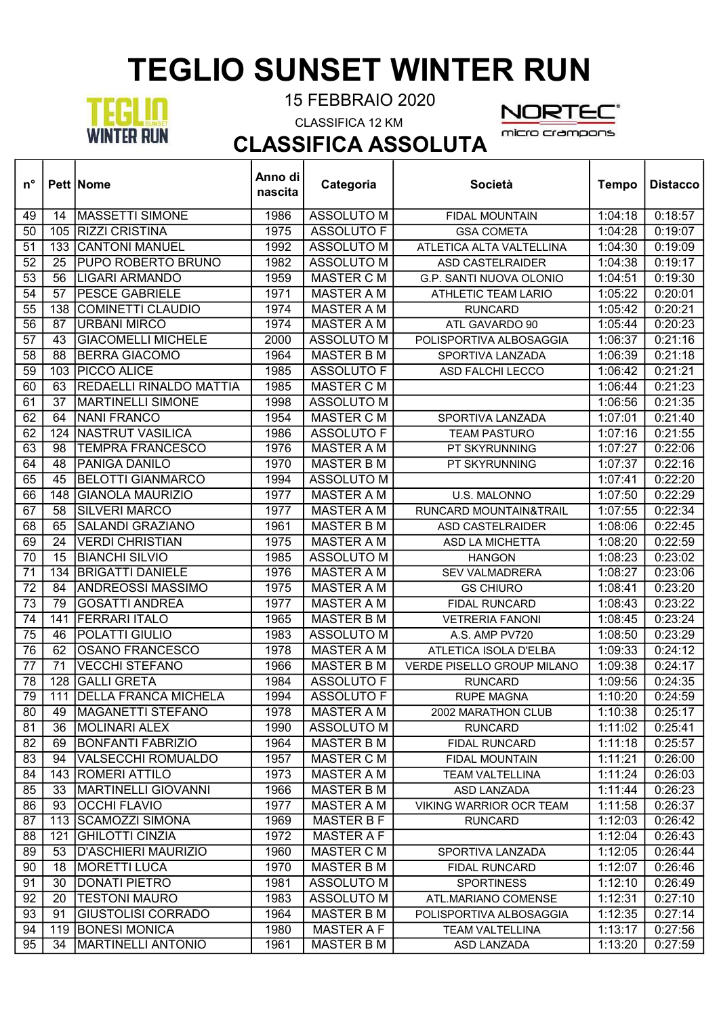## TEGLIO SUNSET WINTER RUN



┯

Т

15 FEBBRAIO 2020

CLASSIFICA 12 KM



┱

micro crampons

CLASSIFICA ASSOLUTA T

| $n^{\circ}$     |                 | <b>Pett Nome</b>            | Anno di<br>nascita | Categoria         | Società                        | <b>Tempo</b> | <b>Distacco</b> |
|-----------------|-----------------|-----------------------------|--------------------|-------------------|--------------------------------|--------------|-----------------|
| 49              | 14              | <b>MASSETTI SIMONE</b>      | 1986               | <b>ASSOLUTO M</b> | FIDAL MOUNTAIN                 | 1:04:18      | 0:18:57         |
| 50              | 105             | RIZZI CRISTINA              | 1975               | <b>ASSOLUTO F</b> | <b>GSA COMETA</b>              | 1:04:28      | 0:19:07         |
| 51              | 133             | <b>CANTONI MANUEL</b>       | 1992               | <b>ASSOLUTO M</b> | ATLETICA ALTA VALTELLINA       | 1:04:30      | 0:19:09         |
| $\overline{52}$ | 25              | PUPO ROBERTO BRUNO          | 1982               | <b>ASSOLUTO M</b> | <b>ASD CASTELRAIDER</b>        | 1:04:38      | 0:19:17         |
| $\overline{53}$ | 56              | <b>LIGARI ARMANDO</b>       | 1959               | <b>MASTER C M</b> | G.P. SANTI NUOVA OLONIO        | 1:04:51      | 0:19:30         |
| 54              | 57              | <b>PESCE GABRIELE</b>       | 1971               | <b>MASTER A M</b> | <b>ATHLETIC TEAM LARIO</b>     | 1:05:22      | 0:20:01         |
| 55              | 138             | <b>COMINETTI CLAUDIO</b>    | 1974               | <b>MASTER A M</b> | <b>RUNCARD</b>                 | 1:05:42      | 0:20:21         |
| $\overline{56}$ | 87              | <b>URBANI MIRCO</b>         | 1974               | <b>MASTER A M</b> | ATL GAVARDO 90                 | 1:05:44      | 0:20:23         |
| 57              | 43              | <b>GIACOMELLI MICHELE</b>   | 2000               | <b>ASSOLUTO M</b> | POLISPORTIVA ALBOSAGGIA        | 1:06:37      | 0:21:16         |
| 58              | 88              | <b>BERRA GIACOMO</b>        | 1964               | <b>MASTER B M</b> | SPORTIVA LANZADA               | 1:06:39      | 0:21:18         |
| $\overline{59}$ | 103             | PICCO ALICE                 | 1985               | <b>ASSOLUTO F</b> | ASD FALCHI LECCO               | 1:06:42      | 0:21:21         |
| 60              | 63              | REDAELLI RINALDO MATTIA     | 1985               | <b>MASTER C M</b> |                                | 1:06:44      | 0:21:23         |
| 61              | $\overline{37}$ | <b>MARTINELLI SIMONE</b>    | 1998               | <b>ASSOLUTO M</b> |                                | 1:06:56      | 0:21:35         |
| 62              | 64              | <b>NANI FRANCO</b>          | 1954               | <b>MASTER C M</b> | SPORTIVA LANZADA               | 1:07:01      | 0:21:40         |
| 62              | 124             | <b>NASTRUT VASILICA</b>     | 1986               | <b>ASSOLUTO F</b> | <b>TEAM PASTURO</b>            | 1:07:16      | 0:21:55         |
| 63              | 98              | <b>TEMPRA FRANCESCO</b>     | 1976               | <b>MASTER A M</b> | PT SKYRUNNING                  | 1:07:27      | 0:22:06         |
| 64              | 48              | <b>PANIGA DANILO</b>        | 1970               | <b>MASTER B M</b> | PT SKYRUNNING                  | 1:07:37      | 0:22:16         |
| 65              | 45              | <b>BELOTTI GIANMARCO</b>    | 1994               | <b>ASSOLUTO M</b> |                                | 1:07:41      | 0:22:20         |
| 66              | 148             | <b>GIANOLA MAURIZIO</b>     | 1977               | <b>MASTER A M</b> | U.S. MALONNO                   | 1:07:50      | 0:22:29         |
| 67              | 58              | <b>SILVERI MARCO</b>        | 1977               | <b>MASTER A M</b> | RUNCARD MOUNTAIN&TRAIL         | 1:07:55      | 0:22:34         |
| 68              | 65              | <b>SALANDI GRAZIANO</b>     | 1961               | <b>MASTER B M</b> | <b>ASD CASTELRAIDER</b>        | 1:08:06      | 0:22:45         |
| 69              | 24              | <b>VERDI CHRISTIAN</b>      | 1975               | <b>MASTER A M</b> | <b>ASD LA MICHETTA</b>         | 1:08:20      | 0:22:59         |
| 70              | 15              | <b>BIANCHI SILVIO</b>       | 1985               | <b>ASSOLUTO M</b> | <b>HANGON</b>                  | 1:08:23      | 0:23:02         |
| 71              | 134             | <b>BRIGATTI DANIELE</b>     | 1976               | <b>MASTER A M</b> | <b>SEV VALMADRERA</b>          | 1:08:27      | 0:23:06         |
| $\overline{72}$ | 84              | <b>ANDREOSSI MASSIMO</b>    | 1975               | <b>MASTER A M</b> | <b>GS CHIURO</b>               | 1:08:41      | 0:23:20         |
| 73              | 79              | <b>GOSATTI ANDREA</b>       | 1977               | <b>MASTER A M</b> | <b>FIDAL RUNCARD</b>           | 1:08:43      | 0:23:22         |
| 74              | 141             | <b>FERRARI ITALO</b>        | 1965               | <b>MASTER B M</b> | <b>VETRERIA FANONI</b>         | 1:08:45      | 0:23:24         |
| $\overline{75}$ | 46              | POLATTI GIULIO              | 1983               | <b>ASSOLUTO M</b> | A.S. AMP PV720                 | 1:08:50      | 0:23:29         |
| 76              | 62              | <b>OSANO FRANCESCO</b>      | 1978               | <b>MASTER A M</b> | ATLETICA ISOLA D'ELBA          | 1:09:33      | 0:24:12         |
| 77              | 71              | <b>VECCHI STEFANO</b>       | 1966               | <b>MASTER B M</b> | VERDE PISELLO GROUP MILANO     | 1:09:38      | 0:24:17         |
| 78              | 128             | <b>GALLI GRETA</b>          | 1984               | <b>ASSOLUTO F</b> | <b>RUNCARD</b>                 | 1:09:56      | 0:24:35         |
| 79              | 111             | <b>DELLA FRANCA MICHELA</b> | 1994               | <b>ASSOLUTO F</b> | <b>RUPE MAGNA</b>              | 1:10:20      | 0:24:59         |
| 80              | 49              | IMAGANETTI STEFANO          | 1978               | MASTER A M        | 2002 MARATHON CLUB             | 1:10:38      | 0:25:17         |
| 81              | 36              | MOLINARI ALEX               | 1990               | <b>ASSOLUTO M</b> | <b>RUNCARD</b>                 | 1:11:02      | 0:25:41         |
| 82              | 69              | <b>BONFANTI FABRIZIO</b>    | 1964               | <b>MASTER B M</b> | FIDAL RUNCARD                  | 1:11:18      | 0:25:57         |
| 83              | 94              | <b>VALSECCHI ROMUALDO</b>   | 1957               | <b>MASTER C M</b> | <b>FIDAL MOUNTAIN</b>          | 1:11:21      | 0:26:00         |
| 84              |                 | 143   ROMERI ATTILO         | 1973               | <b>MASTER A M</b> | <b>TEAM VALTELLINA</b>         | 1:11:24      | 0:26:03         |
| 85              | 33              | MARTINELLI GIOVANNI         | 1966               | <b>MASTER B M</b> | ASD LANZADA                    | 1:11:44      | 0:26:23         |
| 86              | 93              | <b>OCCHI FLAVIO</b>         | 1977               | MASTER A M        | <b>VIKING WARRIOR OCR TEAM</b> | 1:11:58      | 0:26:37         |
| 87              | 113             | <b>SCAMOZZI SIMONA</b>      | 1969               | <b>MASTER B F</b> | <b>RUNCARD</b>                 | 1:12:03      | 0:26:42         |
| 88              | 121             | GHILOTTI CINZIA             | 1972               | <b>MASTER A F</b> |                                | 1:12:04      | 0:26:43         |
| 89              | 53              | <b>D'ASCHIERI MAURIZIO</b>  | 1960               | <b>MASTER C M</b> | SPORTIVA LANZADA               | 1:12:05      | 0:26:44         |
| 90              | 18              | <b>MORETTI LUCA</b>         | 1970               | <b>MASTER B M</b> | FIDAL RUNCARD                  | 1:12:07      | 0:26:46         |
| 91              | 30              | <b>DONATI PIETRO</b>        | 1981               | ASSOLUTO M        | <b>SPORTINESS</b>              | 1:12:10      | 0:26:49         |
| 92              | 20              | <b>TESTONI MAURO</b>        | 1983               | <b>ASSOLUTO M</b> | ATL.MARIANO COMENSE            | 1:12:31      | 0:27:10         |
| 93              | 91              | <b>GIUSTOLISI CORRADO</b>   | 1964               | <b>MASTER B M</b> | POLISPORTIVA ALBOSAGGIA        | 1:12:35      | 0:27:14         |
| 94              | 119             | <b>BONESI MONICA</b>        | 1980               | <b>MASTER A F</b> | <b>TEAM VALTELLINA</b>         | 1:13:17      | 0:27:56         |
| 95              | 34              | MARTINELLI ANTONIO          | 1961               | <b>MASTER B M</b> | ASD LANZADA                    | 1:13:20      | 0:27:59         |